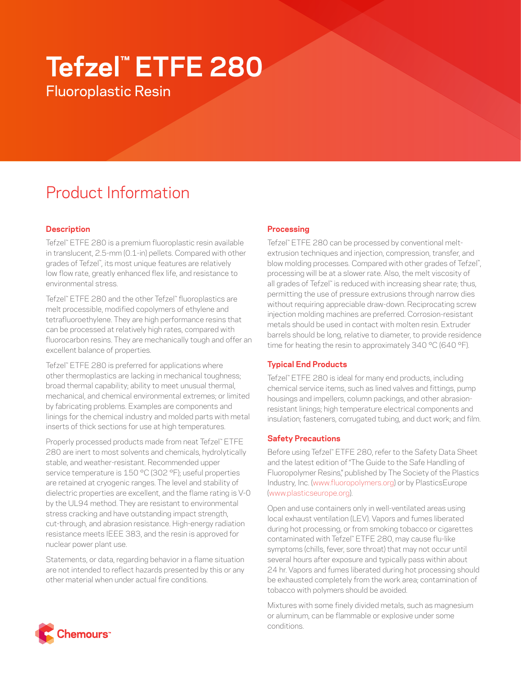# **Tefzel™ ETFE 280** Fluoroplastic Resin

# Product Information

# **Description**

Tefzel™ ETFE 280 is a premium fluoroplastic resin available in translucent, 2.5-mm (0.1-in) pellets. Compared with other grades of Tefzel™ , its most unique features are relatively low flow rate, greatly enhanced flex life, and resistance to environmental stress.

Tefzel™ ETFE 280 and the other Tefzel™ fluoroplastics are melt processible, modified copolymers of ethylene and tetrafluoroethylene. They are high performance resins that can be processed at relatively high rates, compared with fluorocarbon resins. They are mechanically tough and offer an excellent balance of properties.

Tefzel™ ETFE 280 is preferred for applications where other thermoplastics are lacking in mechanical toughness; broad thermal capability; ability to meet unusual thermal, mechanical, and chemical environmental extremes; or limited by fabricating problems. Examples are components and linings for the chemical industry and molded parts with metal inserts of thick sections for use at high temperatures.

Properly processed products made from neat Tefzel™ ETFE 280 are inert to most solvents and chemicals, hydrolytically stable, and weather-resistant. Recommended upper service temperature is 150 °C (302 °F); useful properties are retained at cryogenic ranges. The level and stability of dielectric properties are excellent, and the flame rating is V-0 by the UL94 method. They are resistant to environmental stress cracking and have outstanding impact strength, cut-through, and abrasion resistance. High-energy radiation resistance meets IEEE 383, and the resin is approved for nuclear power plant use.

Statements, or data, regarding behavior in a flame situation are not intended to reflect hazards presented by this or any other material when under actual fire conditions.

# **Processing**

Tefzel™ ETFE 280 can be processed by conventional meltextrusion techniques and injection, compression, transfer, and blow molding processes. Compared with other grades of Tefzel", processing will be at a slower rate. Also, the melt viscosity of all grades of Tefzel™ is reduced with increasing shear rate; thus, permitting the use of pressure extrusions through narrow dies without requiring appreciable draw-down. Reciprocating screw injection molding machines are preferred. Corrosion-resistant metals should be used in contact with molten resin. Extruder barrels should be long, relative to diameter, to provide residence time for heating the resin to approximately 340 °C (640 °F).

# **Typical End Products**

Tefzel™ ETFE 280 is ideal for many end products, including chemical service items, such as lined valves and fittings, pump housings and impellers, column packings, and other abrasionresistant linings; high temperature electrical components and insulation; fasteners, corrugated tubing, and duct work; and film.

# **Safety Precautions**

Before using Tefzel™ ETFE 280, refer to the Safety Data Sheet and the latest edition of "The Guide to the Safe Handling of Fluoropolymer Resins," published by The Society of the Plastics Industry, Inc. ([www.fluoropolymers.org](http://www.fluoropolymers.org)) or by PlasticsEurope [\(www.plasticseurope.org](http://www.plasticseurope.org)).

Open and use containers only in well-ventilated areas using local exhaust ventilation (LEV). Vapors and fumes liberated during hot processing, or from smoking tobacco or cigarettes contaminated with Tefzel™ ETFE 280, may cause flu-like symptoms (chills, fever, sore throat) that may not occur until several hours after exposure and typically pass within about 24 hr. Vapors and fumes liberated during hot processing should be exhausted completely from the work area; contamination of tobacco with polymers should be avoided.

Mixtures with some finely divided metals, such as magnesium or aluminum, can be flammable or explosive under some conditions.